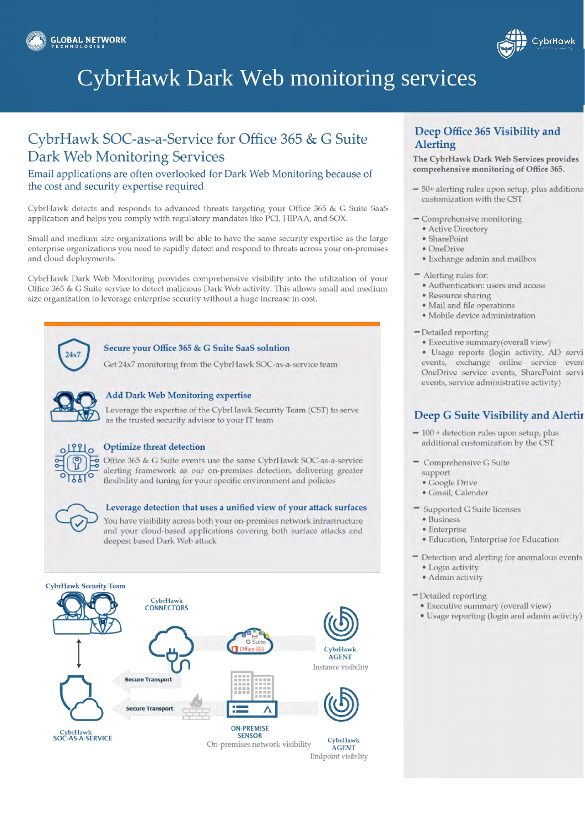



# **CybrHawk Dark Web monitoring services**

## CybrHawk SOC-as-a-Service for Office 365 & G Suite **Dark Web Monitoring Services**

### Email applications are often overlooked for Dark Web Monitoring because of the cost and security expertise required

CybrHawk detects and responds to advanced threats targeting your Office 365 & G Suite SaaS application and helps you comply with regulatory mandates like PCI, HIPAA, and SOX.

Small and medium size organizations will be able to have the same security expertise as the large enterprise organizations you need to rapidly detect and respond to threats across your on-premises and cloud deployments.

CybrHawk Dark Web Monitoring provides comprehensive visibility into the utilization of your Office 365 & G Suite service to detect malicious Dark Web activity. This allows small and medium size organization to leverage enterprise security without a huge increase in cost.



### Secure your Office 365 & G Suite SaaS solution

Get 24x7 monitoring from the CybrHawk SOC-as-a-service team



### **Add Dark Web Monitoring expertise**

Leverage the expertise of the CybrHawk Security Team (CST) to serve as the trusted security advisor to your IT team



### **Optimize threat detection**

Office 365 & G Suite events use the same CybrHawk SOC-as-a-service alerting framework as our on-premises detection, delivering greater flexibility and tuning for your specific environment and policies



### Leverage detection that uses a unified view of your attack surfaces

You have visibility across both your on-premises network infrastructure and your cloud-based applications covering both surface attacks and deepest based Dark Web attack



### Deep Office 365 Visibility and **Alerting**

The CybrHawk Dark Web Services provides comprehensive monitoring of Office 365.

- 50+ alerting rules upon setup, plus additiona customization with the CST
- Comprehensive monitoring
	- Active Directory
	- · SharePoint
	- · OneDrive
	- · Exchange admin and mailbox
- $=$  Alerting rules for:
	- · Authentication: users and access
	- · Resource sharing
	- · Mail and file operations
	- · Mobile device administration
- Detailed reporting
	- Executive summary(overall view)
	- · Usage reports (login activity, AD servievents, exchange online service event OneDrive service events, SharePoint servievents, service administrative activity)

## Deep G Suite Visibility and Alertir

- $-100$  + detection rules upon setup, plus additional customization by the CST
- Comprehensive G Suite
	- support
	- · Google Drive
	- · Gmail, Calender
- " Supported G Suite licenses
	- · Business
	- · Enterprise
	- · Education, Enterprise for Education
- Detection and alerting for anomalous events · Login activity
	- · Admin activity
- Detailed reporting
- · Executive summary (overall view)
- · Usage reporting (login and admin activity)